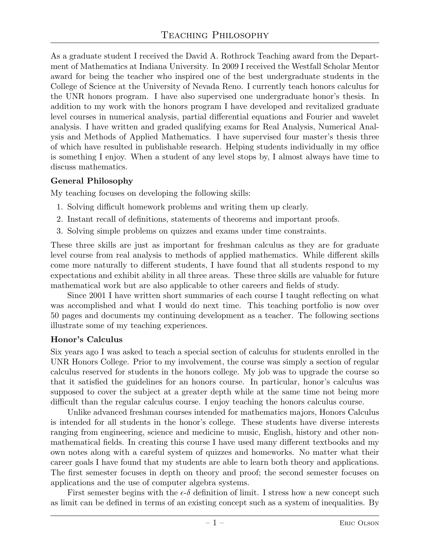As a graduate student I received the David A. Rothrock Teaching award from the Department of Mathematics at Indiana University. In 2009 I received the Westfall Scholar Mentor award for being the teacher who inspired one of the best undergraduate students in the College of Science at the University of Nevada Reno. I currently teach honors calculus for the UNR honors program. I have also supervised one undergraduate honor's thesis. In addition to my work with the honors program I have developed and revitalized graduate level courses in numerical analysis, partial differential equations and Fourier and wavelet analysis. I have written and graded qualifying exams for Real Analysis, Numerical Analysis and Methods of Applied Mathematics. I have supervised four master's thesis three of which have resulted in publishable research. Helping students individually in my office is something I enjoy. When a student of any level stops by, I almost always have time to discuss mathematics.

## General Philosophy

My teaching focuses on developing the following skills:

- 1. Solving difficult homework problems and writing them up clearly.
- 2. Instant recall of definitions, statements of theorems and important proofs.
- 3. Solving simple problems on quizzes and exams under time constraints.

These three skills are just as important for freshman calculus as they are for graduate level course from real analysis to methods of applied mathematics. While different skills come more naturally to different students, I have found that all students respond to my expectations and exhibit ability in all three areas. These three skills are valuable for future mathematical work but are also applicable to other careers and fields of study.

Since 2001 I have written short summaries of each course I taught reflecting on what was accomplished and what I would do next time. This teaching portfolio is now over 50 pages and documents my continuing development as a teacher. The following sections illustrate some of my teaching experiences.

## Honor's Calculus

Six years ago I was asked to teach a special section of calculus for students enrolled in the UNR Honors College. Prior to my involvement, the course was simply a section of regular calculus reserved for students in the honors college. My job was to upgrade the course so that it satisfied the guidelines for an honors course. In particular, honor's calculus was supposed to cover the subject at a greater depth while at the same time not being more difficult than the regular calculus course. I enjoy teaching the honors calculus course.

Unlike advanced freshman courses intended for mathematics majors, Honors Calculus is intended for all students in the honor's college. These students have diverse interests ranging from engineering, science and medicine to music, English, history and other nonmathematical fields. In creating this course I have used many different textbooks and my own notes along with a careful system of quizzes and homeworks. No matter what their career goals I have found that my students are able to learn both theory and applications. The first semester focuses in depth on theory and proof; the second semester focuses on applications and the use of computer algebra systems.

First semester begins with the  $\epsilon$ - $\delta$  definition of limit. I stress how a new concept such as limit can be defined in terms of an existing concept such as a system of inequalities. By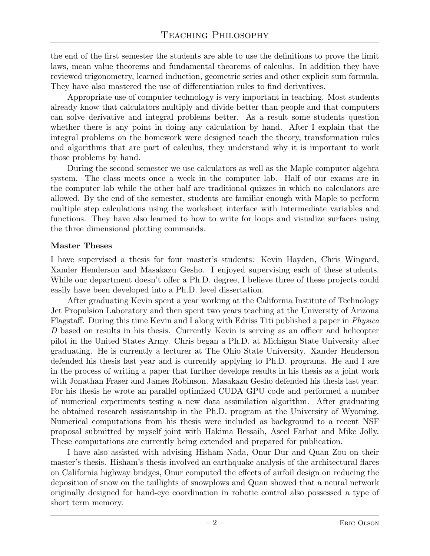the end of the first semester the students are able to use the definitions to prove the limit laws, mean value theorems and fundamental theorems of calculus. In addition they have reviewed trigonometry, learned induction, geometric series and other explicit sum formula. They have also mastered the use of differentiation rules to find derivatives.

Appropriate use of computer technology is very important in teaching. Most students already know that calculators multiply and divide better than people and that computers can solve derivative and integral problems better. As a result some students question whether there is any point in doing any calculation by hand. After I explain that the integral problems on the homework were designed teach the theory, transformation rules and algorithms that are part of calculus, they understand why it is important to work those problems by hand.

During the second semester we use calculators as well as the Maple computer algebra system. The class meets once a week in the computer lab. Half of our exams are in the computer lab while the other half are traditional quizzes in which no calculators are allowed. By the end of the semester, students are familiar enough with Maple to perform multiple step calculations using the worksheet interface with intermediate variables and functions. They have also learned to how to write for loops and visualize surfaces using the three dimensional plotting commands.

#### Master Theses

I have supervised a thesis for four master's students: Kevin Hayden, Chris Wingard, Xander Henderson and Masakazu Gesho. I enjoyed supervising each of these students. While our department doesn't offer a Ph.D. degree, I believe three of these projects could easily have been developed into a Ph.D. level dissertation.

After graduating Kevin spent a year working at the California Institute of Technology Jet Propulsion Laboratory and then spent two years teaching at the University of Arizona Flagstaff. During this time Kevin and I along with Edriss Titi published a paper in Physica D based on results in his thesis. Currently Kevin is serving as an officer and helicopter pilot in the United States Army. Chris began a Ph.D. at Michigan State University after graduating. He is currently a lecturer at The Ohio State University. Xander Henderson defended his thesis last year and is currently applying to Ph.D. programs. He and I are in the process of writing a paper that further develops results in his thesis as a joint work with Jonathan Fraser and James Robinson. Masakazu Gesho defended his thesis last year. For his thesis he wrote an parallel optimized CUDA GPU code and performed a number of numerical experiments testing a new data assimilation algorithm. After graduating he obtained research assistantship in the Ph.D. program at the University of Wyoming. Numerical computations from his thesis were included as background to a recent NSF proposal submitted by myself joint with Hakima Bessaih, Aseel Farhat and Mike Jolly. These computations are currently being extended and prepared for publication.

I have also assisted with advising Hisham Nada, Onur Dur and Quan Zou on their master's thesis. Hisham's thesis involved an earthquake analysis of the architectural flares on California highway bridges, Onur computed the effects of airfoil design on reducing the deposition of snow on the taillights of snowplows and Quan showed that a neural network originally designed for hand-eye coordination in robotic control also possessed a type of short term memory.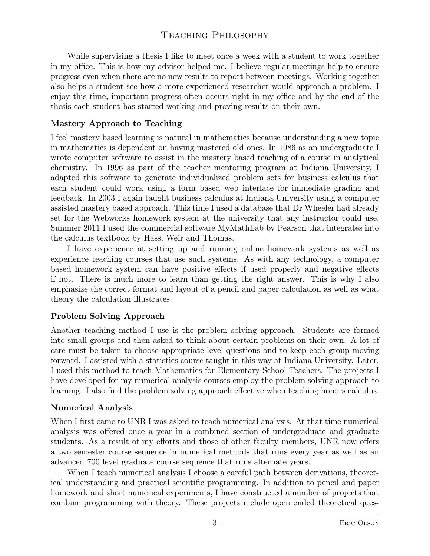While supervising a thesis I like to meet once a week with a student to work together in my office. This is how my advisor helped me. I believe regular meetings help to ensure progress even when there are no new results to report between meetings. Working together also helps a student see how a more experienced researcher would approach a problem. I enjoy this time, important progress often occurs right in my office and by the end of the thesis each student has started working and proving results on their own.

## Mastery Approach to Teaching

I feel mastery based learning is natural in mathematics because understanding a new topic in mathematics is dependent on having mastered old ones. In 1986 as an undergraduate I wrote computer software to assist in the mastery based teaching of a course in analytical chemistry. In 1996 as part of the teacher mentoring program at Indiana University, I adapted this software to generate individualized problem sets for business calculus that each student could work using a form based web interface for immediate grading and feedback. In 2003 I again taught business calculus at Indiana University using a computer assisted mastery based approach. This time I used a database that Dr Wheeler had already set for the Webworks homework system at the university that any instructor could use. Summer 2011 I used the commercial software MyMathLab by Pearson that integrates into the calculus textbook by Hass, Weir and Thomas.

I have experience at setting up and running online homework systems as well as experience teaching courses that use such systems. As with any technology, a computer based homework system can have positive effects if used properly and negative effects if not. There is much more to learn than getting the right answer. This is why I also emphasize the correct format and layout of a pencil and paper calculation as well as what theory the calculation illustrates.

# Problem Solving Approach

Another teaching method I use is the problem solving approach. Students are formed into small groups and then asked to think about certain problems on their own. A lot of care must be taken to choose appropriate level questions and to keep each group moving forward. I assisted with a statistics course taught in this way at Indiana University. Later, I used this method to teach Mathematics for Elementary School Teachers. The projects I have developed for my numerical analysis courses employ the problem solving approach to learning. I also find the problem solving approach effective when teaching honors calculus.

## Numerical Analysis

When I first came to UNR I was asked to teach numerical analysis. At that time numerical analysis was offered once a year in a combined section of undergraduate and graduate students. As a result of my efforts and those of other faculty members, UNR now offers a two semester course sequence in numerical methods that runs every year as well as an advanced 700 level graduate course sequence that runs alternate years.

When I teach numerical analysis I choose a careful path between derivations, theoretical understanding and practical scientific programming. In addition to pencil and paper homework and short numerical experiments, I have constructed a number of projects that combine programming with theory. These projects include open ended theoretical ques